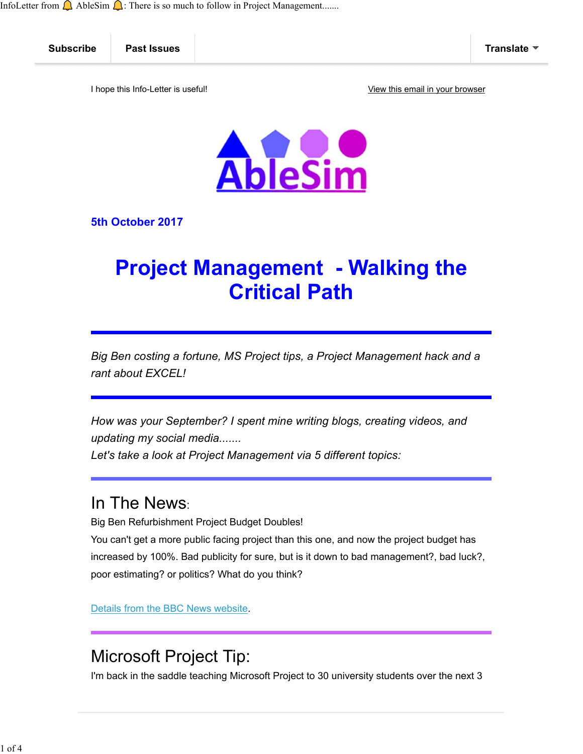InfoLetter from  $\bigcup$  AbleSim  $\bigcap$ : There is so much to follow in Project Management.......



5th October 2017

# **Project Management - Walking the** Critical Path

*Big Ben costing a fortune, MS Project tips, a Project Management hack and a rant about EXCEL!*

*How was your September? I spent mine writing blogs, creating videos, and updating my social media.......*

*Let's take a look at Project Management via 5 different topics:*

#### In The News:

Big Ben Refurbishment Project Budget Doubles!

You can't get a more public facing project than this one, and now the project budget has increased by 100%. Bad publicity for sure, but is it down to bad management?, bad luck?, poor estimating? or politics? What do you think?

Details from the BBC News website.

#### Microsoft Project Tip:

I'm back in the saddle teaching Microsoft Project to 30 university students over the next 3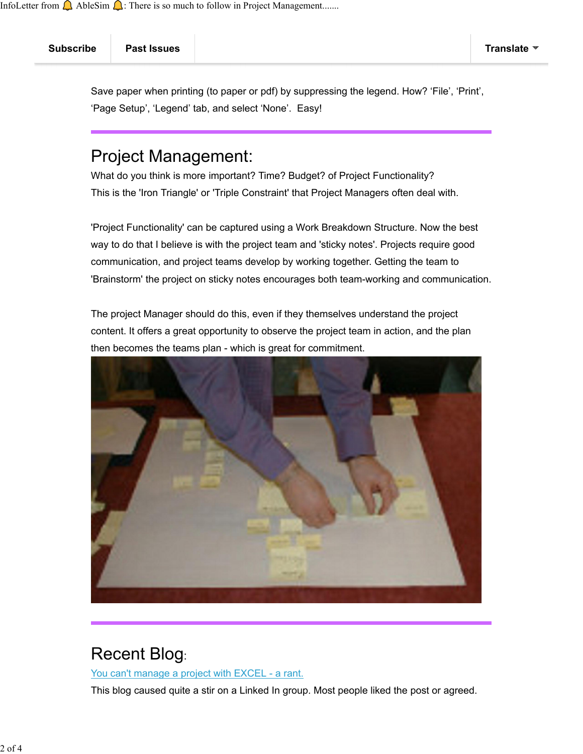Subscribe Past Issues Translate

Save paper when printing (to paper or pdf) by suppressing the legend. How? 'File', 'Print', 'Page Setup', 'Legend' tab, and select 'None'. Easy!

# Project Management:

What do you think is more important? Time? Budget? of Project Functionality? This is the 'Iron Triangle' or 'Triple Constraint' that Project Managers often deal with.

'Project Functionality' can be captured using a Work Breakdown Structure. Now the best way to do that I believe is with the project team and 'sticky notes'. Projects require good communication, and project teams develop by working together. Getting the team to 'Brainstorm' the project on sticky notes encourages both team-working and communication.

The project Manager should do this, even if they themselves understand the project content. It offers a great opportunity to observe the project team in action, and the plan then becomes the teams plan - which is great for commitment.



#### Recent Blog:

You can't manage a project with EXCEL - a rant.

This blog caused quite a stir on a Linked In group. Most people liked the post or agreed.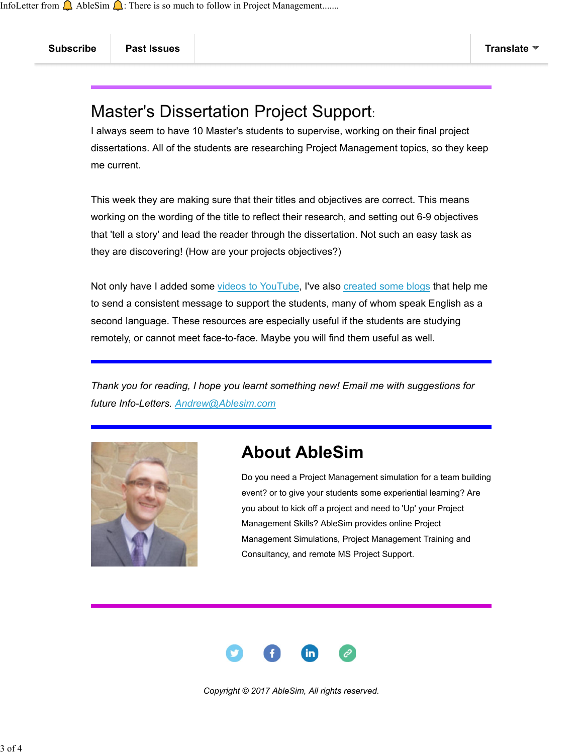## Master's Dissertation Project Support:

I always seem to have 10 Master's students to supervise, working on their final project dissertations. All of the students are researching Project Management topics, so they keep me current.

This week they are making sure that their titles and objectives are correct. This means working on the wording of the title to reflect their research, and setting out 6-9 objectives that 'tell a story' and lead the reader through the dissertation. Not such an easy task as they are discovering! (How are your projects objectives?)

Not only have I added some videos to YouTube, I've also created some blogs that help me to send a consistent message to support the students, many of whom speak English as a second language. These resources are especially useful if the students are studying remotely, or cannot meet face-to-face. Maybe you will find them useful as well.

*Thank you for reading, I hope you learnt something new! Email me with suggestions for future Info-Letters. Andrew@Ablesim.com*



## About AbleSim

Do you need a Project Management simulation for a team building event? or to give your students some experiential learning? Are you about to kick off a project and need to 'Up' your Project Management Skills? AbleSim provides online Project Management Simulations, Project Management Training and Consultancy, and remote MS Project Support.



*Copyright © 2017 AbleSim, All rights reserved.*